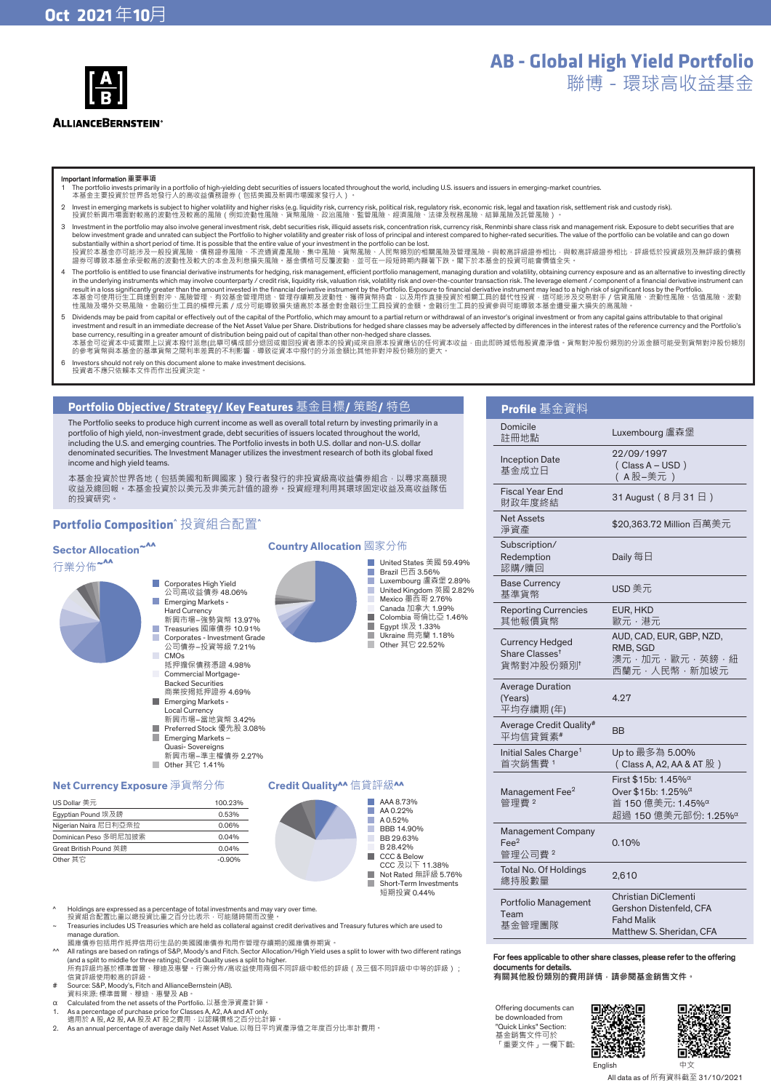

# **AB - Global High Yield Portfolio**

聯博-環球高收益基金

#### Important Information **重要事項**

- 1 The portfolio invests primarily in a portfolio of high-yielding debt securities of issuers located throughout the world, including U.S. issuers and issuers in emerging-market countries. 本基金主要投資於世界各地發行人的高收益債務證券(包括美國及新興市場國家發行人)。
- 2 Invest in emerging markets is subject to higher volatility and higher risks (e.g. liquidity risk, currency risk, political risk, regulatory risk, economic risk, legal and taxation risk, settlement risk and custody risk)
- 3 Investment in the portfolio may also involve general investment risk, debt securities risk, illiquid assets risk, conceptration risk, currency risk. Reprovible share class risk and management risk. Exposure to debt secur below investment grade and unrated can subject the Portfolio to higher volatility and greater risk of loss of principal and interest compared to higher-rated securities. The value of the portfolio can be volatile and can g substantially within a short period of time. It is possible that the entire value of your investment in the portfolio can be lost.<br>投資於本基金亦可能涉及一般投資風險、債務證券風險、不流通資產風險、集中風險、貨幣風險、人民幣類別的相關風險及管理風險。與較高評級證券相比,與較高評級證券相比,評級低於投資級別及無評 證券可導致本基金承受較高的波動性及較大的本金及利息損失風險。基金價格可反覆波動,並可在一段短時期內顯著下跌。閣下於本基金的投資可能會價值全失。
- The portfolio is entitled to use financial derivative instruments for hedging, risk management, efficient portfolio management, managing duration and volatility, obtaining currency exposure and as an alternative to investi result in a loss significantly greater than the amount invested in the financial derivative instrument to Express the Portfolio. Exposure to financial derivative instrument may lead to a high risk of significant loss by t
- 5 Dividends may be paid from capital or effectively out of the capital of the Portfolio, which may amount to a partial return or withdrawal of an investor's original investment or from any capital gains attributable to tha investment and result in an immediate decrease of the Net Asset Value per Share. Distributions for hedged share classes may be adversely affected by differences in the interest rates of the reference currency and the Port
- 

United States 美國 59.49% Brazil 巴西 3.56% Luxembourg 盧森堡 2.89% United Kingdom 英國 2.82% Mexico 墨西哥 2.76% Canada 加拿大 1.99% Colombia 哥倫比亞 1.46% Egypt 埃及 1.33% Ukraine 烏克蘭 1.18% Other 其它 22.52%

6 Investors should not rely on this document alone to make investment decisions. 投資者不應只依賴本文件而作出投資決定。

# **Portfolio Objective/ Strategy/ Key Features** 基金目標**/** 策略**/** 特色

The Portfolio seeks to produce high current income as well as overall total return by investing primarily in a portfolio of high yield, non-investment grade, debt securities of issuers located throughout the world, including the U.S. and emerging countries. The Portfolio invests in both U.S. dollar and non-U.S. dollar denominated securities. The Investment Manager utilizes the investment research of both its global fixed income and high yield teams.

本基金投資於世界各地(包括美國和新興國家)發行者發行的非投資級高收益債券組合 · 以尋求高額現<br>收益及總回報 · 本基金投資於以美元及非美元計值的證券 · 投資經理利用其環球固定收益及高收益隊伍 的投資研究。

# **Portfolio Composition^** 投資組合配置**^**

# **Sector Allocation<sup>~^^</sup>**

# 行業分佈**~^^**

- Corporates High Yield 公司高收益債券 48.06% Emerging Markets -Hard Currency 新興市場–強勢貨幣 13.97%
	- Treasuries 國庫債券 10.91% Corporates - Investment Grade
	- 。<br>這人分子,我資等級 7.21% CMO<sub>S</sub> 抵押擔保債務憑證 4.98%
	- Commercial Mortgage-Backed Securities 商業按揭抵押證券 4.69%
	- Emerging Markets Local Currency 新興市場–當地貨幣 3.42%
	- Preferred Stock 優先股 3.08%
	- Emerging Markets –
	- Quasi- Sovereigns 新興市場–準主權債券 2.27%
	- $\Box$  Other 其它 1.41%

#### **Net Currency Exposure** 淨貨幣分佈

| US Dollar 美元           | 100.23%  |
|------------------------|----------|
| Egyptian Pound 埃及鎊     | 0.53%    |
| Nigerian Naira 尼日利亞奈拉  | 0.06%    |
| Dominican Peso 多明尼加披索  | 0.04%    |
| Great British Pound 英鎊 | 0.04%    |
| Other 其它               | $-0.90%$ |

# **Credit Quality^^** 信貸評級**^^**

**Country Allocation** 國家分佈

П п T.

m, п



- Ε Short-Term Investments
- 短期投資 0.44%
- ^ Holdings are expressed as a percentage of total investments and may vary over time. 投資組合配置比重以總投資比重之百分比表示,可能隨時間而改變。
- ~ Treasuries includes US Treasuries which are held as collateral against credit derivatives and Treasury futures which are used to manage duration. 國庫債券包括用作抵押信用衍生品的美國國庫債券和用作管理存續期的國庫債券期貨。
- 
- ^^ All ratings are based on ratings of S&P, Moody's and Fitch. Sector Allocation/High Yield uses a split to lower with two different ratings<br>(and a split to middle for three ratings): Credit Quality uses a split to higher
- 
- 
- α Calculated from the net assets of the Portfolio. 以基金淨資產計算。 1. As a percentage of purchase price for Classes A, A2, AA and AT only.
- 
- 適用於 A 股, A2 股, AA 股及 AT 股之費用,以認購價格之百分比計算。 2. As an annual percentage of average daily Net Asset Value. 以每日平均資產淨值之年度百分比率計費用。

| Profile 基金 <u>資料</u>                                             |                                                                                                                                                  |
|------------------------------------------------------------------|--------------------------------------------------------------------------------------------------------------------------------------------------|
| Domicile<br>註冊地點                                                 | Luxembourg 盧森堡                                                                                                                                   |
| <b>Inception Date</b><br>基金成立日                                   | 22/09/1997<br>$(Class A - USD)$<br>(A股-美元)                                                                                                       |
| <b>Fiscal Year End</b><br>財政年度終結                                 | 31 August(8月31日)                                                                                                                                 |
| <b>Net Assets</b><br>淨資產                                         | \$20,363.72 Million 百萬美元                                                                                                                         |
| Subscription/<br>Redemption<br>認購/贖回                             | Daily 每日                                                                                                                                         |
| <b>Base Currency</b><br>基準貨幣                                     | USD 美元                                                                                                                                           |
| <b>Reporting Currencies</b><br>其他報價貨幣                            | EUR, HKD<br>歐元‧港元                                                                                                                                |
| <b>Currency Hedged</b><br>Share Classes <sup>t</sup><br>貨幣對冲股份類別 | AUD, CAD, EUR, GBP, NZD,<br>RMB, SGD<br>澳元・加元・歐元・英鎊・紐<br>西蘭元·人民幣·新加坡元                                                                            |
| <b>Average Duration</b><br>(Years)<br>平均存續期(年)                   | 4.27                                                                                                                                             |
| Average Credit Quality#<br>平均信貸質素#                               | <b>BB</b>                                                                                                                                        |
| Initial Sales Charge <sup>1</sup><br>首次銷售費1                      | Up to 最多為 5.00%<br>( Class A, A2, AA & AT 股)                                                                                                     |
| Management Fee <sup>2</sup><br>管理費2                              | First \$15b: $1.45\%$ <sup><math>\alpha</math></sup><br>Over \$15b: 1.25% <sup>α</sup><br>首 150 億美元: 1.45% α<br>超過 150 億美元部份: 1.25% <sup>α</sup> |
| Management Company<br>Fee <sup>2</sup><br>管理公司費?                 | 0.10%                                                                                                                                            |
| <b>Total No. Of Holdings</b><br>總持股數量                            | 2,610                                                                                                                                            |
| Portfolio Management<br>Team<br>$-0.000$                         | <b>Christian DiClementi</b><br>Gershon Distenfeld, CFA<br>Fahd Malik                                                                             |

- For fees applicable to other share classes, please refer to the offering documents for details.
- **有關其他股份類別的費用詳情,請參閱基金銷售文件。**

靣

Offering documents can be downloaded from "Quick Links" Section: 基金銷售文件可於 「重要文件」一欄下載:

基金管理團隊



п

English 中文

SR.E

Matthew S. Sheridan, CFA